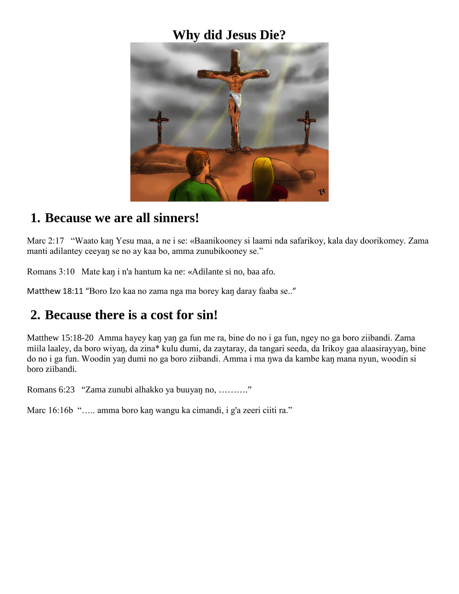# **Why did Jesus Die?**



#### **1. Because we are all sinners!**

Marc 2:17 "Waato kaŋ Yesu maa, a ne i se: «Baanikooney si laami nda safarikoy, kala day doorikomey. Zama manti adilantey ceeyaŋ se no ay kaa bo, amma zunubikooney se."

Romans 3:10 Mate kaŋ i n'a hantum ka ne: «Adilante si no, baa afo.

Matthew 18:11 "Boro Izo kaa no zama nga ma borey kaŋ daray faaba se.."

### **2. Because there is a cost for sin!**

Matthew 15:18-20 Amma hayey kaŋ yaŋ ga fun me ra, bine do no i ga fun, ngey no ga boro ziibandi. Zama miila laaley, da boro wiyaŋ, da zina\* kulu dumi, da zaytaray, da tangari seeda, da Irikoy gaa alaasirayyaŋ, bine do no i ga fun. Woodin yaŋ dumi no ga boro ziibandi. Amma i ma ŋwa da kambe kaŋ mana nyun, woodin si boro ziibandi.

Romans 6:23 "Zama zunubi alhakko ya buuyaŋ no, ………."

Marc 16:16b "..... amma boro kan wangu ka cimandi, i g'a zeeri ciiti ra."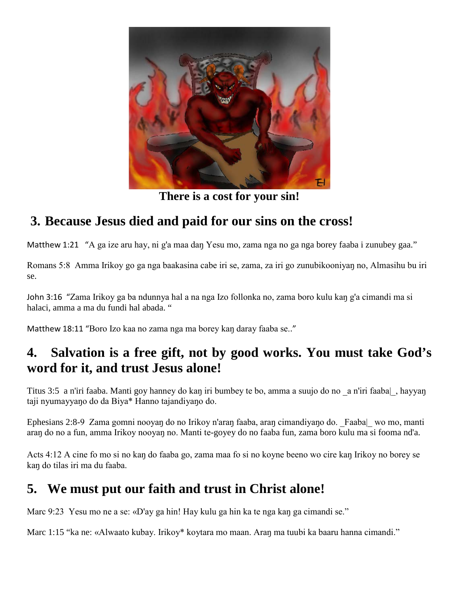

**There is a cost for your sin!**

## **3. Because Jesus died and paid for our sins on the cross!**

Matthew 1:21 "A ga ize aru hay, ni g'a maa daŋ Yesu mo, zama nga no ga nga borey faaba i zunubey gaa."

Romans 5:8 Amma Irikoy go ga nga baakasina cabe iri se, zama, za iri go zunubikooniyaŋ no, Almasihu bu iri se.

John 3:16 "Zama Irikoy ga ba ndunnya hal a na nga Izo follonka no, zama boro kulu kaŋ g'a cimandi ma si halaci, amma a ma du fundi hal abada. "

Matthew 18:11 "Boro Izo kaa no zama nga ma borey kaŋ daray faaba se.."

### **4. Salvation is a free gift, not by good works. You must take God's word for it, and trust Jesus alone!**

Titus 3:5 a n'iri faaba. Manti goy hanney do kaŋ iri bumbey te bo, amma a suujo do no \_a n'iri faaba|\_, hayyaŋ taji nyumayyaŋo do da Biya\* Hanno tajandiyaŋo do.

Ephesians 2:8-9 Zama gomni nooyaŋ do no Irikoy n'araŋ faaba, araŋ cimandiyaŋo do. \_Faaba|\_ wo mo, manti araŋ do no a fun, amma Irikoy nooyaŋ no. Manti te-goyey do no faaba fun, zama boro kulu ma si fooma nd'a.

Acts 4:12 A cine fo mo si no kaŋ do faaba go, zama maa fo si no koyne beeno wo cire kaŋ Irikoy no borey se kaŋ do tilas iri ma du faaba.

### **5. We must put our faith and trust in Christ alone!**

Marc 9:23 Yesu mo ne a se: «D'ay ga hin! Hay kulu ga hin ka te nga kan ga cimandi se."

Marc 1:15 "ka ne: «Alwaato kubay. Irikoy\* koytara mo maan. Aran ma tuubi ka baaru hanna cimandi."